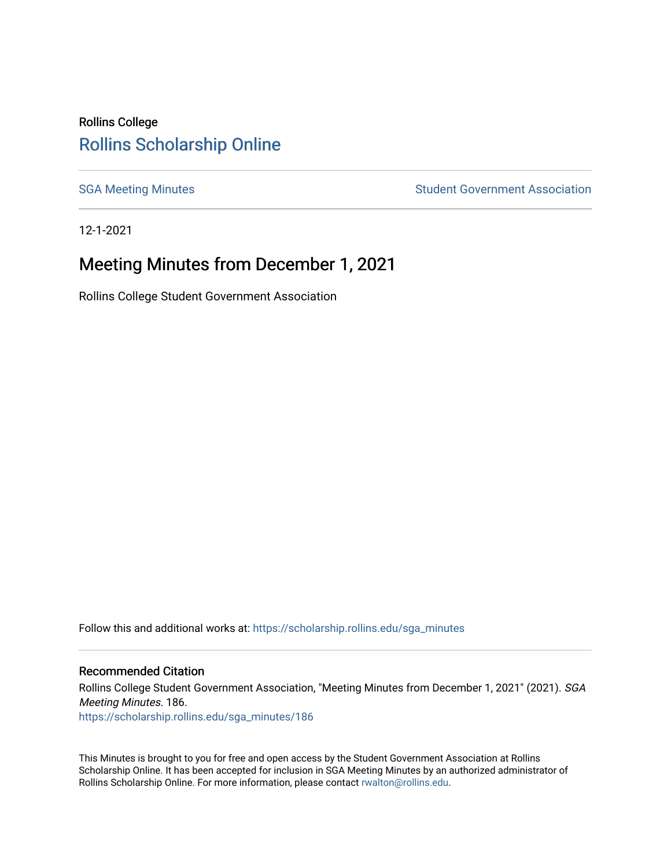## Rollins College [Rollins Scholarship Online](https://scholarship.rollins.edu/)

[SGA Meeting Minutes](https://scholarship.rollins.edu/sga_minutes) **SGA Meeting Minutes** SGA Meeting Minutes **STEER** Student Government Association

12-1-2021

# Meeting Minutes from December 1, 2021

Rollins College Student Government Association

Follow this and additional works at: [https://scholarship.rollins.edu/sga\\_minutes](https://scholarship.rollins.edu/sga_minutes?utm_source=scholarship.rollins.edu%2Fsga_minutes%2F186&utm_medium=PDF&utm_campaign=PDFCoverPages)

#### Recommended Citation

Rollins College Student Government Association, "Meeting Minutes from December 1, 2021" (2021). SGA Meeting Minutes. 186. [https://scholarship.rollins.edu/sga\\_minutes/186](https://scholarship.rollins.edu/sga_minutes/186?utm_source=scholarship.rollins.edu%2Fsga_minutes%2F186&utm_medium=PDF&utm_campaign=PDFCoverPages)

This Minutes is brought to you for free and open access by the Student Government Association at Rollins Scholarship Online. It has been accepted for inclusion in SGA Meeting Minutes by an authorized administrator of Rollins Scholarship Online. For more information, please contact [rwalton@rollins.edu](mailto:rwalton@rollins.edu).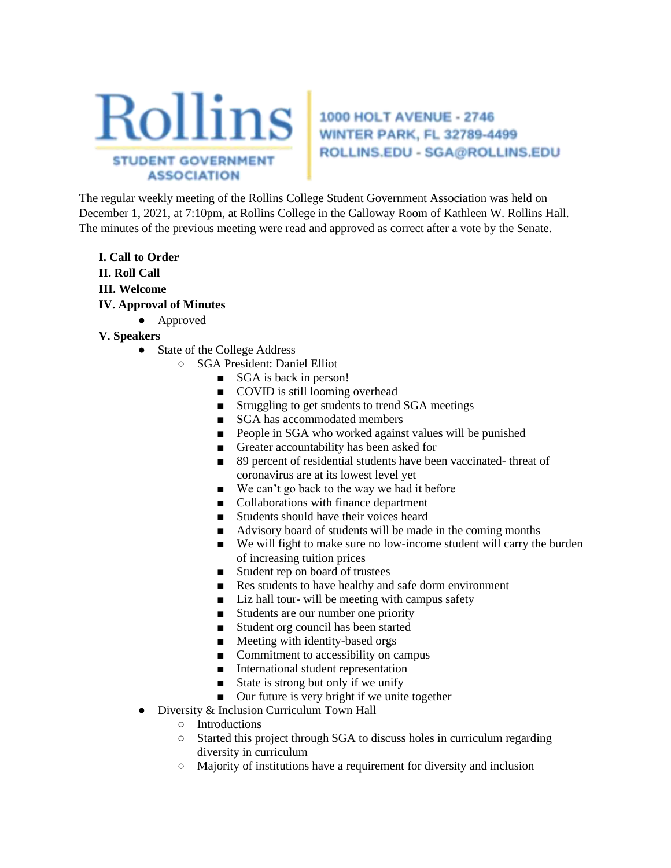

**WINTER PARK, FL 32789-4499** ROLLINS.EDU - SGA@ROLLINS.EDU

The regular weekly meeting of the Rollins College Student Government Association was held on December 1, 2021, at 7:10pm, at Rollins College in the Galloway Room of Kathleen W. Rollins Hall. The minutes of the previous meeting were read and approved as correct after a vote by the Senate.

**I. Call to Order II. Roll Call III. Welcome IV. Approval of Minutes** 

#### ● Approved

- **V. Speakers** 
	- State of the College Address
		- SGA President: Daniel Elliot
			- SGA is back in person!
			- COVID is still looming overhead
			- Struggling to get students to trend SGA meetings
			- SGA has accommodated members
			- People in SGA who worked against values will be punished
			- Greater accountability has been asked for
			- 89 percent of residential students have been vaccinated- threat of coronavirus are at its lowest level yet
			- We can't go back to the way we had it before
			- Collaborations with finance department
			- Students should have their voices heard
			- Advisory board of students will be made in the coming months
			- We will fight to make sure no low-income student will carry the burden of increasing tuition prices
			- Student rep on board of trustees
			- Res students to have healthy and safe dorm environment
			- Liz hall tour- will be meeting with campus safety
			- Students are our number one priority
			- Student org council has been started
			- Meeting with identity-based orgs
			- Commitment to accessibility on campus
			- International student representation
			- State is strong but only if we unify
			- Our future is very bright if we unite together
	- Diversity & Inclusion Curriculum Town Hall
		- Introductions
		- Started this project through SGA to discuss holes in curriculum regarding diversity in curriculum
		- Majority of institutions have a requirement for diversity and inclusion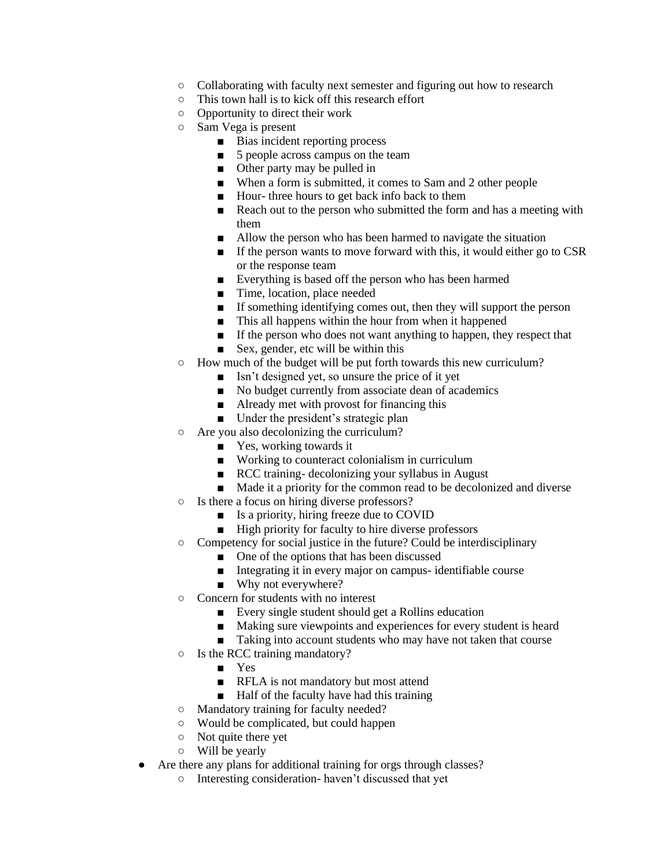- Collaborating with faculty next semester and figuring out how to research
- This town hall is to kick off this research effort
- Opportunity to direct their work
- Sam Vega is present
	- Bias incident reporting process
	- 5 people across campus on the team
	- Other party may be pulled in
	- When a form is submitted, it comes to Sam and 2 other people
	- Hour- three hours to get back info back to them
	- Reach out to the person who submitted the form and has a meeting with them
	- Allow the person who has been harmed to navigate the situation
	- If the person wants to move forward with this, it would either go to CSR or the response team
	- Everything is based off the person who has been harmed
	- Time, location, place needed
	- If something identifying comes out, then they will support the person
	- This all happens within the hour from when it happened
	- If the person who does not want anything to happen, they respect that
	- Sex, gender, etc will be within this
- How much of the budget will be put forth towards this new curriculum?
	- Isn't designed yet, so unsure the price of it yet
	- No budget currently from associate dean of academics
	- Already met with provost for financing this
	- Under the president's strategic plan
- Are you also decolonizing the curriculum?
	- Yes, working towards it
	- Working to counteract colonialism in curriculum
	- RCC training- decolonizing your syllabus in August
	- Made it a priority for the common read to be decolonized and diverse
- Is there a focus on hiring diverse professors?
	- Is a priority, hiring freeze due to COVID
	- High priority for faculty to hire diverse professors
- Competency for social justice in the future? Could be interdisciplinary
	- One of the options that has been discussed
	- Integrating it in every major on campus- identifiable course
	- Why not everywhere?
- Concern for students with no interest
	- Every single student should get a Rollins education
	- Making sure viewpoints and experiences for every student is heard
	- Taking into account students who may have not taken that course
- Is the RCC training mandatory?
	- Yes
	- RFLA is not mandatory but most attend
	- Half of the faculty have had this training
- Mandatory training for faculty needed?
- Would be complicated, but could happen
- Not quite there yet
- Will be yearly
- Are there any plans for additional training for orgs through classes?
	- Interesting consideration- haven't discussed that yet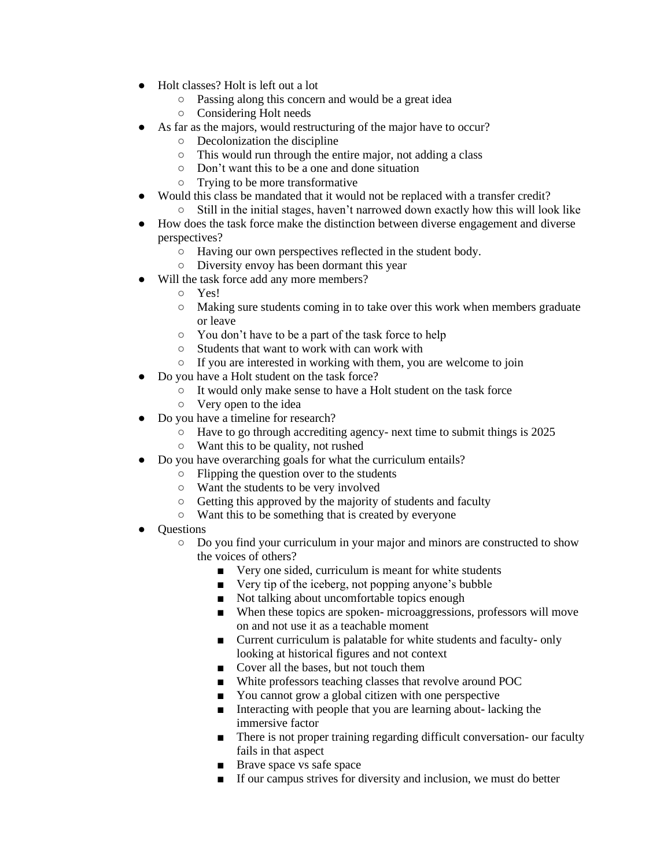- Holt classes? Holt is left out a lot
	- Passing along this concern and would be a great idea
	- Considering Holt needs
- As far as the majors, would restructuring of the major have to occur?
	- Decolonization the discipline
	- This would run through the entire major, not adding a class
	- Don't want this to be a one and done situation
	- Trying to be more transformative
- Would this class be mandated that it would not be replaced with a transfer credit? ○ Still in the initial stages, haven't narrowed down exactly how this will look like
- How does the task force make the distinction between diverse engagement and diverse perspectives?
	- Having our own perspectives reflected in the student body.
	- Diversity envoy has been dormant this year
- Will the task force add any more members?
	- Yes!
	- Making sure students coming in to take over this work when members graduate or leave
	- You don't have to be a part of the task force to help
	- Students that want to work with can work with
	- If you are interested in working with them, you are welcome to join
- Do you have a Holt student on the task force?
	- It would only make sense to have a Holt student on the task force
	- Very open to the idea
- Do you have a timeline for research?
	- Have to go through accrediting agency- next time to submit things is 2025
	- Want this to be quality, not rushed
- Do you have overarching goals for what the curriculum entails?
	- Flipping the question over to the students
	- Want the students to be very involved
	- Getting this approved by the majority of students and faculty
	- Want this to be something that is created by everyone
- Questions
	- Do you find your curriculum in your major and minors are constructed to show the voices of others?
		- Very one sided, curriculum is meant for white students
		- Very tip of the iceberg, not popping anyone's bubble
		- Not talking about uncomfortable topics enough
		- When these topics are spoken- microaggressions, professors will move on and not use it as a teachable moment
		- Current curriculum is palatable for white students and faculty- only looking at historical figures and not context
		- Cover all the bases, but not touch them
		- White professors teaching classes that revolve around POC
		- You cannot grow a global citizen with one perspective
		- Interacting with people that you are learning about- lacking the immersive factor
		- There is not proper training regarding difficult conversation- our faculty fails in that aspect
		- Brave space vs safe space
		- If our campus strives for diversity and inclusion, we must do better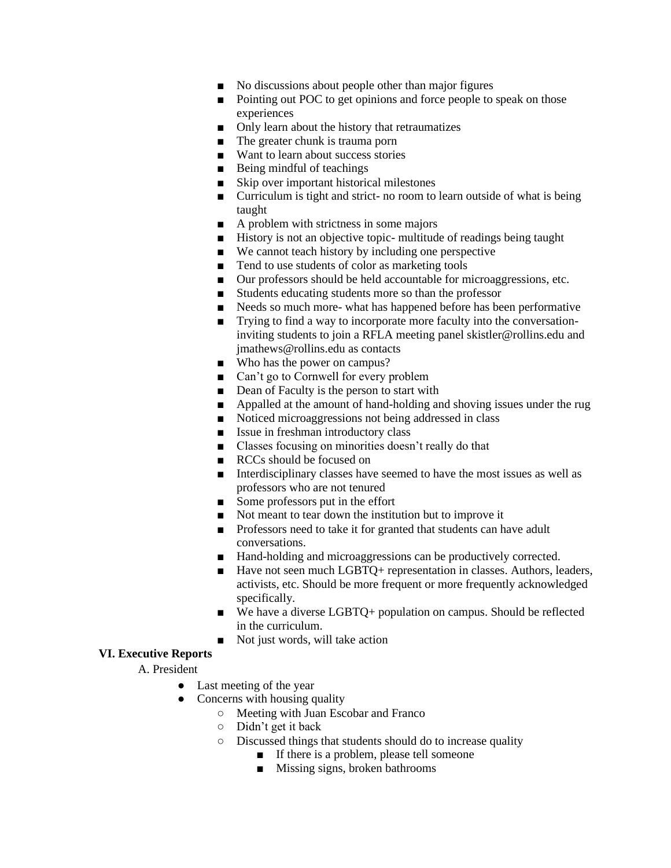- No discussions about people other than major figures
- Pointing out POC to get opinions and force people to speak on those experiences
- Only learn about the history that retraumatizes
- The greater chunk is trauma porn
- Want to learn about success stories
- Being mindful of teachings
- Skip over important historical milestones
- Curriculum is tight and strict- no room to learn outside of what is being taught
- A problem with strictness in some majors
- History is not an objective topic- multitude of readings being taught
- We cannot teach history by including one perspective
- Tend to use students of color as marketing tools
- Our professors should be held accountable for microaggressions, etc.
- Students educating students more so than the professor
- Needs so much more- what has happened before has been performative
- Trying to find a way to incorporate more faculty into the conversationinviting students to join a RFLA meeting panel skistler@rollins.edu and jmathews@rollins.edu as contacts
- Who has the power on campus?
- Can't go to Cornwell for every problem
- Dean of Faculty is the person to start with
- Appalled at the amount of hand-holding and shoving issues under the rug
- Noticed microaggressions not being addressed in class
- Issue in freshman introductory class
- Classes focusing on minorities doesn't really do that
- RCCs should be focused on
- Interdisciplinary classes have seemed to have the most issues as well as professors who are not tenured
- Some professors put in the effort
- Not meant to tear down the institution but to improve it
- Professors need to take it for granted that students can have adult conversations.
- Hand-holding and microaggressions can be productively corrected.
- Have not seen much LGBTQ+ representation in classes. Authors, leaders, activists, etc. Should be more frequent or more frequently acknowledged specifically.
- We have a diverse LGBTQ+ population on campus. Should be reflected in the curriculum.
- Not just words, will take action

#### **VI. Executive Reports**

- A. President
	- Last meeting of the year
	- Concerns with housing quality
		- Meeting with Juan Escobar and Franco
		- Didn't get it back
		- Discussed things that students should do to increase quality
			- If there is a problem, please tell someone
				- Missing signs, broken bathrooms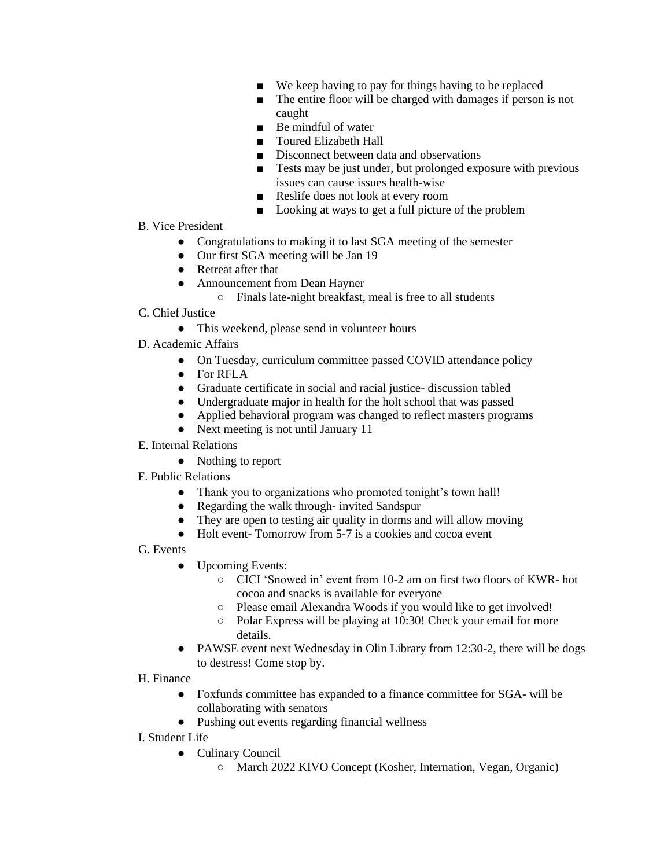- We keep having to pay for things having to be replaced
- The entire floor will be charged with damages if person is not caught
- Be mindful of water
- Toured Elizabeth Hall
- Disconnect between data and observations
- Tests may be just under, but prolonged exposure with previous issues can cause issues health-wise
- Reslife does not look at every room
- Looking at ways to get a full picture of the problem
- B. Vice President
	- Congratulations to making it to last SGA meeting of the semester
	- Our first SGA meeting will be Jan 19
	- Retreat after that
	- Announcement from Dean Hayner
		- Finals late-night breakfast, meal is free to all students
- C. Chief Justice
	- This weekend, please send in volunteer hours
- D. Academic Affairs
	- On Tuesday, curriculum committee passed COVID attendance policy
	- For RFLA
	- Graduate certificate in social and racial justice- discussion tabled
	- Undergraduate major in health for the holt school that was passed
	- Applied behavioral program was changed to reflect masters programs
	- Next meeting is not until January 11
- E. Internal Relations
	- Nothing to report
- F. Public Relations
	- Thank you to organizations who promoted tonight's town hall!
	- Regarding the walk through- invited Sandspur
	- They are open to testing air quality in dorms and will allow moving
	- Holt event-Tomorrow from 5-7 is a cookies and cocoa event

G. Events

- Upcoming Events:
	- CICI 'Snowed in' event from 10-2 am on first two floors of KWR- hot cocoa and snacks is available for everyone
	- Please email Alexandra Woods if you would like to get involved!
	- Polar Express will be playing at 10:30! Check your email for more details.
- PAWSE event next Wednesday in Olin Library from 12:30-2, there will be dogs to destress! Come stop by.

#### H. Finance

- Foxfunds committee has expanded to a finance committee for SGA- will be collaborating with senators
- Pushing out events regarding financial wellness
- I. Student Life
	- Culinary Council
		- March 2022 KIVO Concept (Kosher, Internation, Vegan, Organic)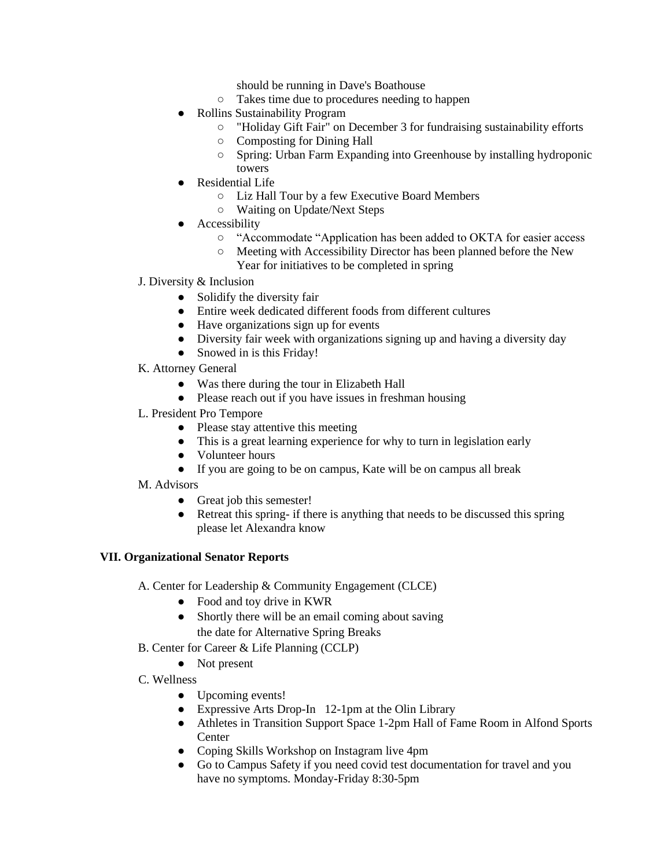should be running in Dave's Boathouse

- Takes time due to procedures needing to happen
- Rollins Sustainability Program
	- "Holiday Gift Fair" on December 3 for fundraising sustainability efforts
	- Composting for Dining Hall
	- Spring: Urban Farm Expanding into Greenhouse by installing hydroponic towers
- Residential Life
	- Liz Hall Tour by a few Executive Board Members
	- Waiting on Update/Next Steps
- **•** Accessibility
	- "Accommodate "Application has been added to OKTA for easier access
	- Meeting with Accessibility Director has been planned before the New Year for initiatives to be completed in spring
- J. Diversity & Inclusion
	- Solidify the diversity fair
	- Entire week dedicated different foods from different cultures
	- Have organizations sign up for events
	- Diversity fair week with organizations signing up and having a diversity day
	- Snowed in is this Friday!
- K. Attorney General
	- Was there during the tour in Elizabeth Hall
	- Please reach out if you have issues in freshman housing
- L. President Pro Tempore
	- Please stay attentive this meeting
	- This is a great learning experience for why to turn in legislation early
	- Volunteer hours
	- If you are going to be on campus, Kate will be on campus all break
- M. Advisors
	- Great job this semester!
	- Retreat this spring- if there is anything that needs to be discussed this spring please let Alexandra know

#### **VII. Organizational Senator Reports**

A. Center for Leadership & Community Engagement (CLCE)

- Food and toy drive in KWR
- Shortly there will be an email coming about saving the date for Alternative Spring Breaks
- B. Center for Career & Life Planning (CCLP)
	- Not present
- C. Wellness
	- Upcoming events!
	- Expressive Arts Drop-In 12-1pm at the Olin Library
	- Athletes in Transition Support Space 1-2pm Hall of Fame Room in Alfond Sports **Center**
	- Coping Skills Workshop on Instagram live 4pm
	- Go to Campus Safety if you need covid test documentation for travel and you have no symptoms. Monday-Friday 8:30-5pm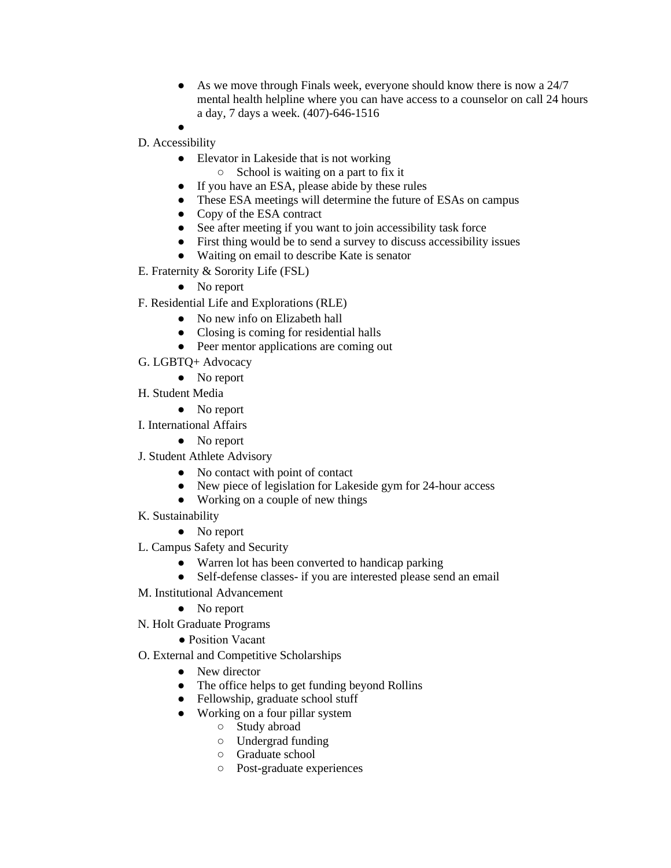- As we move through Finals week, everyone should know there is now a 24/7 mental health helpline where you can have access to a counselor on call 24 hours a day, 7 days a week. (407)-646-1516
- ●
- D. Accessibility
	- Elevator in Lakeside that is not working
		- School is waiting on a part to fix it
	- If you have an ESA, please abide by these rules
	- These ESA meetings will determine the future of ESAs on campus
	- Copy of the ESA contract
	- See after meeting if you want to join accessibility task force
	- First thing would be to send a survey to discuss accessibility issues
	- Waiting on email to describe Kate is senator
- E. Fraternity & Sorority Life (FSL)
	- No report
- F. Residential Life and Explorations (RLE)
	- No new info on Elizabeth hall
	- Closing is coming for residential halls
	- Peer mentor applications are coming out
- G. LGBTQ+ Advocacy
	- No report
- H. Student Media
	- No report
- I. International Affairs
	- No report
- J. Student Athlete Advisory
	- No contact with point of contact
	- New piece of legislation for Lakeside gym for 24-hour access
	- Working on a couple of new things
- K. Sustainability
	- No report
- L. Campus Safety and Security
	- Warren lot has been converted to handicap parking
	- Self-defense classes- if you are interested please send an email
- M. Institutional Advancement
	- No report
- N. Holt Graduate Programs
	- Position Vacant
- O. External and Competitive Scholarships
	- New director
	- The office helps to get funding beyond Rollins
	- Fellowship, graduate school stuff
	- Working on a four pillar system
		- Study abroad
		- Undergrad funding
		- Graduate school
		- Post-graduate experiences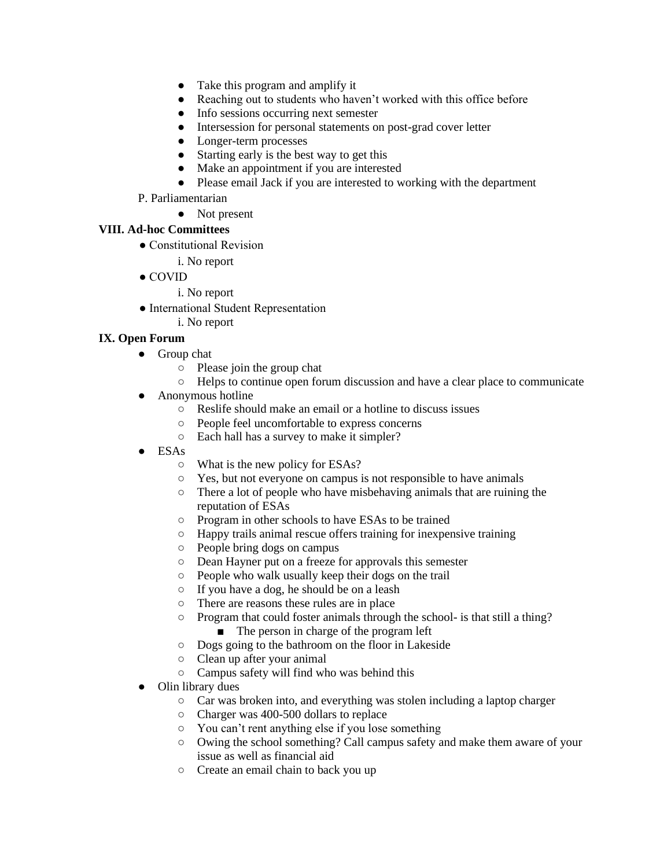- Take this program and amplify it
- Reaching out to students who haven't worked with this office before
- Info sessions occurring next semester
- Intersession for personal statements on post-grad cover letter
- Longer-term processes
- Starting early is the best way to get this
- Make an appointment if you are interested
- Please email Jack if you are interested to working with the department
- P. Parliamentarian
	- Not present

### **VIII. Ad-hoc Committees**

- Constitutional Revision
	- i. No report
- COVID
	- i. No report
- International Student Representation
	- i. No report

## **IX. Open Forum**

- Group chat
	- Please join the group chat
	- Helps to continue open forum discussion and have a clear place to communicate
- Anonymous hotline
	- Reslife should make an email or a hotline to discuss issues
	- People feel uncomfortable to express concerns
	- Each hall has a survey to make it simpler?
- $\bullet$  ESAs
	- What is the new policy for ESAs?
	- Yes, but not everyone on campus is not responsible to have animals
	- There a lot of people who have misbehaving animals that are ruining the reputation of ESAs
	- Program in other schools to have ESAs to be trained
	- Happy trails animal rescue offers training for inexpensive training
	- People bring dogs on campus
	- Dean Hayner put on a freeze for approvals this semester
	- People who walk usually keep their dogs on the trail
	- If you have a dog, he should be on a leash
	- There are reasons these rules are in place
	- Program that could foster animals through the school- is that still a thing?
		- The person in charge of the program left
	- Dogs going to the bathroom on the floor in Lakeside
	- Clean up after your animal
	- Campus safety will find who was behind this
- Olin library dues
	- Car was broken into, and everything was stolen including a laptop charger
	- Charger was 400-500 dollars to replace
	- You can't rent anything else if you lose something
	- Owing the school something? Call campus safety and make them aware of your issue as well as financial aid
	- Create an email chain to back you up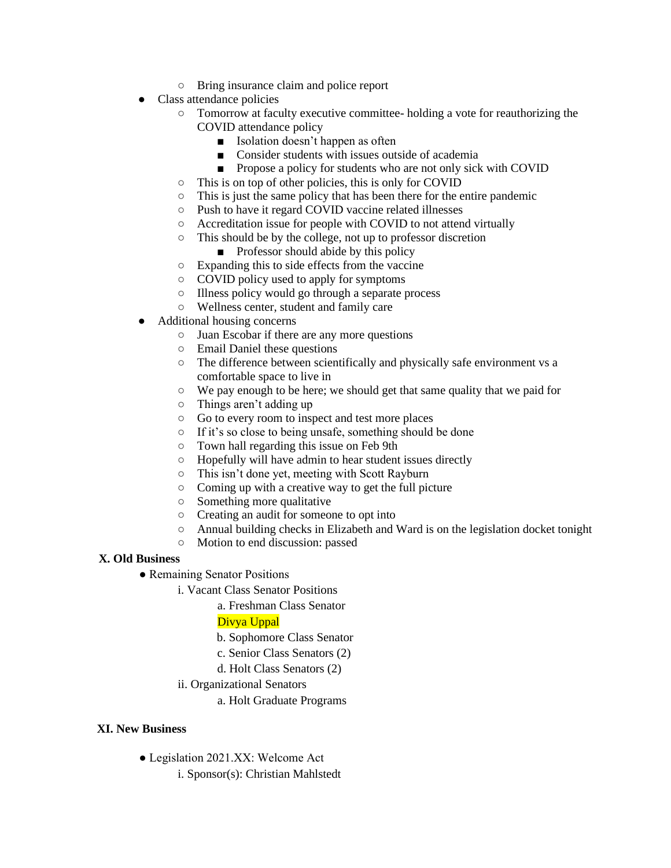- Bring insurance claim and police report
- Class attendance policies
	- Tomorrow at faculty executive committee- holding a vote for reauthorizing the COVID attendance policy
		- Isolation doesn't happen as often
		- Consider students with issues outside of academia
		- Propose a policy for students who are not only sick with COVID
	- This is on top of other policies, this is only for COVID
	- This is just the same policy that has been there for the entire pandemic
	- Push to have it regard COVID vaccine related illnesses
	- Accreditation issue for people with COVID to not attend virtually
	- This should be by the college, not up to professor discretion
		- Professor should abide by this policy
	- Expanding this to side effects from the vaccine
	- COVID policy used to apply for symptoms
	- Illness policy would go through a separate process
	- Wellness center, student and family care
- Additional housing concerns
	- Juan Escobar if there are any more questions
	- Email Daniel these questions
	- The difference between scientifically and physically safe environment vs a comfortable space to live in
	- We pay enough to be here; we should get that same quality that we paid for
	- Things aren't adding up
	- Go to every room to inspect and test more places
	- If it's so close to being unsafe, something should be done
	- Town hall regarding this issue on Feb 9th
	- Hopefully will have admin to hear student issues directly
	- This isn't done yet, meeting with Scott Rayburn
	- Coming up with a creative way to get the full picture
	- Something more qualitative
	- Creating an audit for someone to opt into
	- Annual building checks in Elizabeth and Ward is on the legislation docket tonight
	- Motion to end discussion: passed

## **X. Old Business**

- Remaining Senator Positions
	- i. Vacant Class Senator Positions

a. Freshman Class Senator

## Divya Uppal

- b. Sophomore Class Senator
- c. Senior Class Senators (2)
- d. Holt Class Senators (2)
- ii. Organizational Senators
	- a. Holt Graduate Programs

## **XI. New Business**

- Legislation 2021.XX: Welcome Act
	- i. Sponsor(s): Christian Mahlstedt